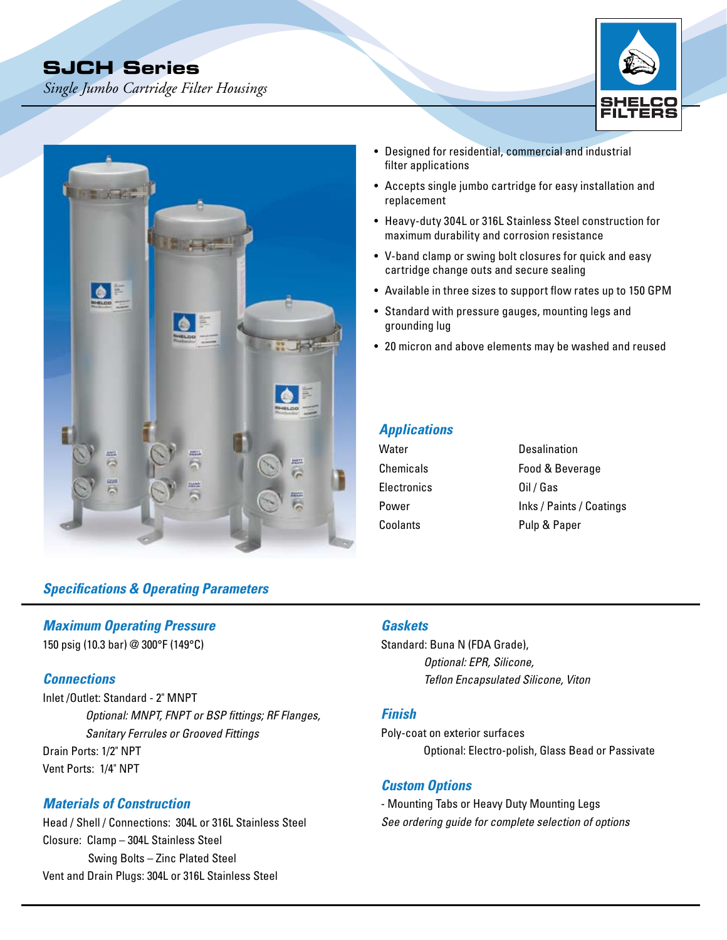# **SJCH Series**

*Single Jumbo Cartridge Filter Housings* 





# *Specifications & Operating Parameters*

#### *Maximum Operating Pressure*

150 psig (10.3 bar) @ 300°F (149°C)

#### *Connections*

Inlet /Outlet: Standard - 2" MNPT *Optional: MNPT, FNPT or BSP fittings; RF Flanges, Sanitary Ferrules or Grooved Fittings* Drain Ports: 1/2" NPT Vent Ports: 1/4" NPT

## *Materials of Construction*

Head / Shell / Connections: 304L or 316L Stainless Steel Closure: Clamp – 304L Stainless Steel Swing Bolts – Zinc Plated Steel Vent and Drain Plugs: 304L or 316L Stainless Steel

- • Designed for residential, commercial and industrial filter applications
- Accepts single jumbo cartridge for easy installation and replacement
- Heavy-duty 304L or 316L Stainless Steel construction for maximum durability and corrosion resistance
- V-band clamp or swing bolt closures for quick and easy cartridge change outs and secure sealing
- Available in three sizes to support flow rates up to 150 GPM
- Standard with pressure gauges, mounting legs and grounding lug
- 20 micron and above elements may be washed and reused

## *Applications*

| Desalination             |
|--------------------------|
| Food & Beverage          |
| Oil / Gas                |
| Inks / Paints / Coatings |
| Pulp & Paper             |
|                          |

## *Gaskets*

Standard: Buna N (FDA Grade), *Optional: EPR, Silicone, Teflon Encapsulated Silicone, Viton*

#### *Finish*

Poly-coat on exterior surfaces Optional: Electro-polish, Glass Bead or Passivate

#### *Custom Options*

- Mounting Tabs or Heavy Duty Mounting Legs *See ordering guide for complete selection of options*